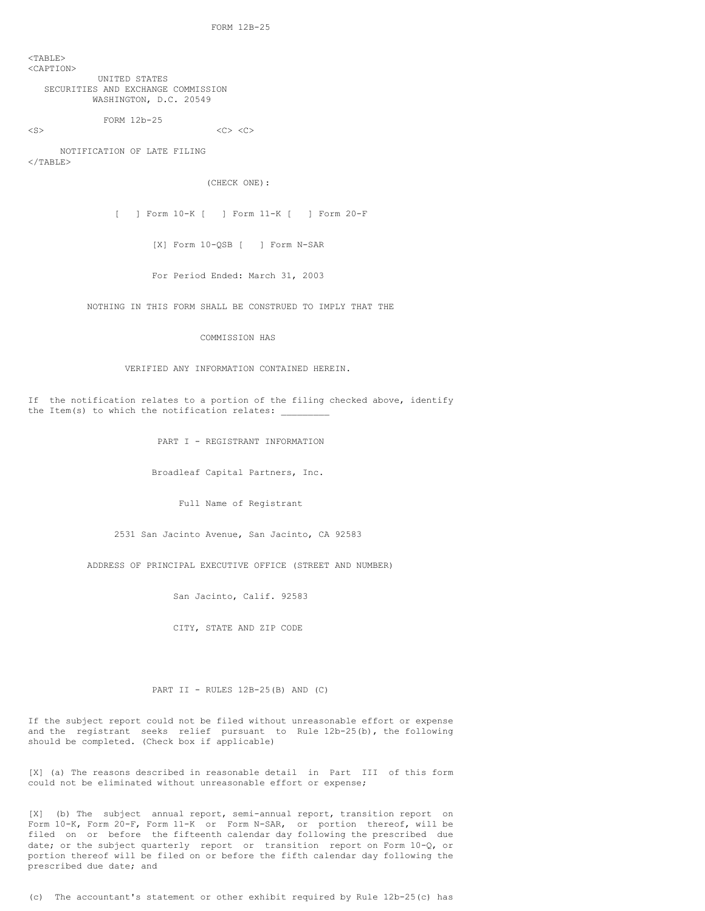<TABLE> <CAPTION> UNITED STATES SECURITIES AND EXCHANGE COMMISSION WASHINGTON, D.C. 20549

FORM 12b-25

 $\langle$ S>  $\langle$ C>  $\langle$ C>  $\langle$ C>  $\langle$ C>  $\langle$ C>

NOTIFICATION OF LATE FILING  $\langle$ /TABLE>

(CHECK ONE):

[ ] Form 10-K [ ] Form 11-K [ ] Form 20-F

[X] Form 10-QSB [ ] Form N-SAR

For Period Ended: March 31, 2003

NOTHING IN THIS FORM SHALL BE CONSTRUED TO IMPLY THAT THE

COMMISSION HAS

## VERIFIED ANY INFORMATION CONTAINED HEREIN.

If the notification relates to a portion of the filing checked above, identify the Item(s) to which the notification relates:  $\overline{\phantom{a}}$ 

PART I - REGISTRANT INFORMATION

Broadleaf Capital Partners, Inc.

Full Name of Registrant

2531 San Jacinto Avenue, San Jacinto, CA 92583

ADDRESS OF PRINCIPAL EXECUTIVE OFFICE (STREET AND NUMBER)

San Jacinto, Calif. 92583

CITY, STATE AND ZIP CODE

## PART II - RULES 12B-25(B) AND (C)

If the subject report could not be filed without unreasonable effort or expense and the registrant seeks relief pursuant to Rule 12b-25(b), the following should be completed. (Check box if applicable)

[X] (a) The reasons described in reasonable detail in Part III of this form could not be eliminated without unreasonable effort or expense;

[X] (b) The subject annual report, semi-annual report, transition report on Form 10-K, Form 20-F, Form 11-K or Form N-SAR, or portion thereof, will be filed on or before the fifteenth calendar day following the prescribed due date; or the subject quarterly report or transition report on Form 10-Q, or portion thereof will be filed on or before the fifth calendar day following the prescribed due date; and

(c) The accountant's statement or other exhibit required by Rule 12b-25(c) has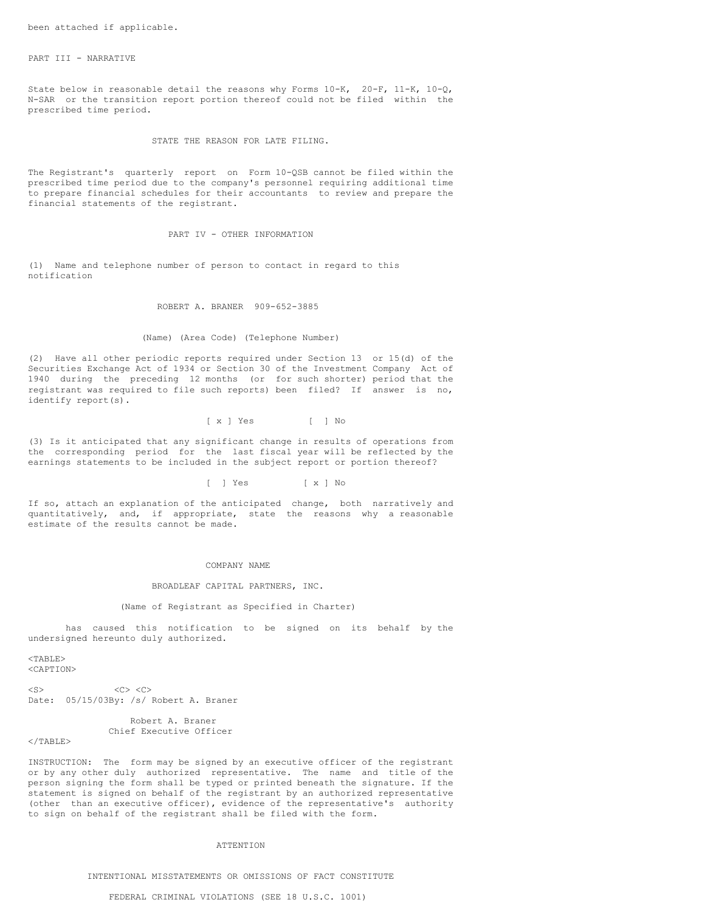## PART III - NARRATIVE

State below in reasonable detail the reasons why Forms 10-K, 20-F, 11-K, 10-Q, N-SAR or the transition report portion thereof could not be filed within the prescribed time period.

#### STATE THE REASON FOR LATE FILING.

The Registrant's quarterly report on Form 10-QSB cannot be filed within the prescribed time period due to the company's personnel requiring additional time to prepare financial schedules for their accountants to review and prepare the financial statements of the registrant.

### PART IV - OTHER INFORMATION

(1) Name and telephone number of person to contact in regard to this notification

ROBERT A. BRANER 909-652-3885

## (Name) (Area Code) (Telephone Number)

(2) Have all other periodic reports required under Section 13 or 15(d) of the Securities Exchange Act of 1934 or Section 30 of the Investment Company Act of 1940 during the preceding 12 months (or for such shorter) period that the registrant was required to file such reports) been filed? If answer is no, identify report(s).

[ x ] Yes [ ] No

(3) Is it anticipated that any significant change in results of operations from the corresponding period for the last fiscal year will be reflected by the earnings statements to be included in the subject report or portion thereof?

### [ ] Yes [ x ] No

If so, attach an explanation of the anticipated change, both narratively and quantitatively, and, if appropriate, state the reasons why a reasonable estimate of the results cannot be made.

#### COMPANY NAME

### BROADLEAF CAPITAL PARTNERS, INC.

## (Name of Registrant as Specified in Charter)

has caused this notification to be signed on its behalf by the undersigned hereunto duly authorized.

<TABLE> <CAPTION>

 $\langle$ S>  $\langle$ C>  $\langle$ C>  $\langle$ C> Date: 05/15/03By: /s/ Robert A. Braner

# Robert A. Braner Chief Executive Officer

## $<$ /TABLE>

INSTRUCTION: The form may be signed by an executive officer of the registrant or by any other duly authorized representative. The name and title of the person signing the form shall be typed or printed beneath the signature. If the statement is signed on behalf of the registrant by an authorized representative (other than an executive officer), evidence of the representative's authority to sign on behalf of the registrant shall be filed with the form.

#### ATTENTION

INTENTIONAL MISSTATEMENTS OR OMISSIONS OF FACT CONSTITUTE

## FEDERAL CRIMINAL VIOLATIONS (SEE 18 U.S.C. 1001)